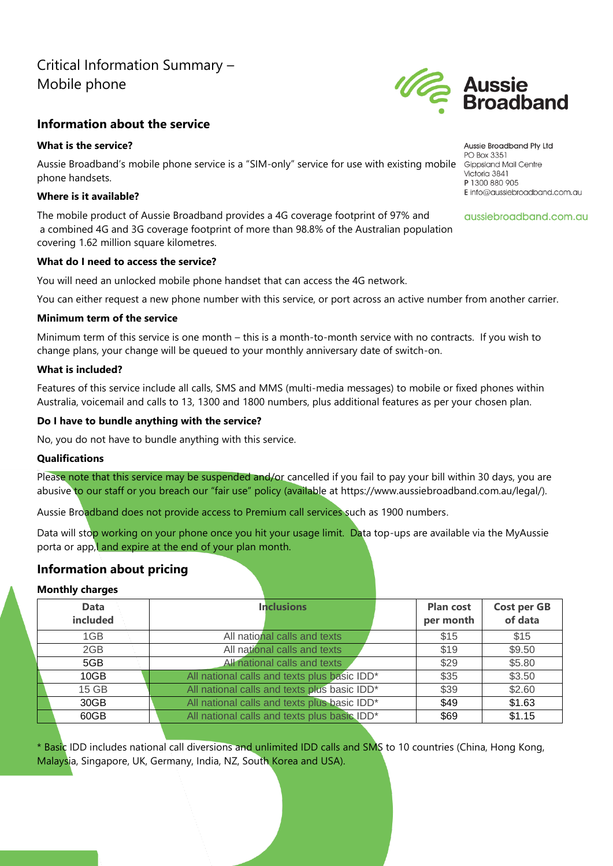# Critical Information Summary – Mobile phone

# **Information about the service**

### **What is the service?**

Aussie Broadband's mobile phone service is a "SIM-only" service for use with existing mobile Gippsland Mail Centre phone handsets.

### **Where is it available?**

The mobile product of Aussie Broadband provides a 4G coverage footprint of 97% and a combined 4G and 3G coverage footprint of more than 98.8% of the Australian population covering 1.62 million square kilometres.

### **What do I need to access the service?**

You will need an unlocked mobile phone handset that can access the 4G network.

You can either request a new phone number with this service, or port across an active number from another carrier.

### **Minimum term of the service**

Minimum term of this service is one month – this is a month-to-month service with no contracts. If you wish to change plans, your change will be queued to your monthly anniversary date of switch-on.

### **What is included?**

Features of this service include all calls, SMS and MMS (multi-media messages) to mobile or fixed phones within Australia, voicemail and calls to 13, 1300 and 1800 numbers, plus additional features as per your chosen plan.

### **Do I have to bundle anything with the service?**

No, you do not have to bundle anything with this service.

#### **Qualifications**

Please note that this service may be suspended and/or cancelled if you fail to pay your bill within 30 days, you are abusive to our staff or you breach our "fair use" policy (available at https://www.aussiebroadband.com.au/legal/).

Aussie Broadband does not provide access to Premium call services such as 1900 numbers.

Data will stop working on your phone once you hit your usage limit. Data top-ups are available via the MyAussie porta or app, and expire at the end of your plan month.

# **Information about pricing**

### **Monthly charges**

| <b>Data</b><br>included | <b>Inclusions</b>                            | <b>Plan cost</b><br>per month | <b>Cost per GB</b><br>of data |
|-------------------------|----------------------------------------------|-------------------------------|-------------------------------|
| 1GB                     | All national calls and texts                 | \$15                          | \$15                          |
| 2GB                     | All national calls and texts                 | \$19                          | \$9.50                        |
| 5GB                     | All national calls and texts                 | \$29                          | \$5.80                        |
| 10GB                    | All national calls and texts plus basic IDD* | \$35                          | \$3.50                        |
| 15 GB                   | All national calls and texts plus basic IDD* | \$39                          | \$2.60                        |
| 30GB                    | All national calls and texts plus basic IDD* | \$49                          | \$1.63                        |
| 60GB                    | All national calls and texts plus basic IDD* | \$69                          | \$1.15                        |

\* Basic IDD includes national call diversions and unlimited IDD calls and SMS to 10 countries (China, Hong Kong, Malaysia, Singapore, UK, Germany, India, NZ, South Korea and USA).

Aussie Broadband Pty Ltd PO Box 3351 Victoria 3841 P 1300 880 905 E info@aussiebroadband.com.au

aussiebroadband.com.au